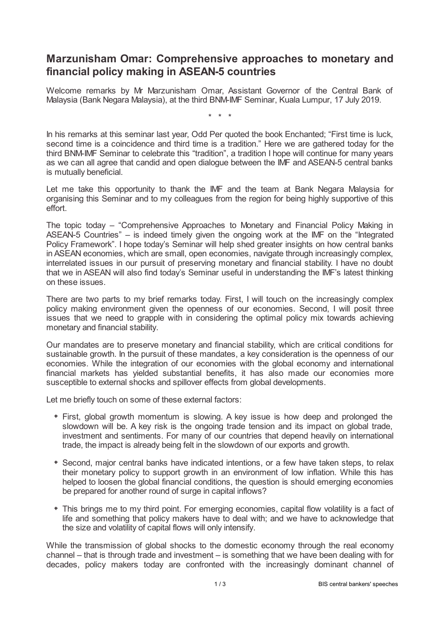## **Marzunisham Omar: Comprehensive approaches to monetary and financial policy making in ASEAN-5 countries**

Welcome remarks by Mr Marzunisham Omar, Assistant Governor of the Central Bank of Malaysia (Bank Negara Malaysia), at the third BNM-IMF Seminar, Kuala Lumpur, 17 July 2019.

\* \* \*

In his remarks at this seminar last year, Odd Per quoted the book Enchanted; "First time is luck, second time is a coincidence and third time is a tradition." Here we are gathered today for the third BNM-IMF Seminar to celebrate this "tradition", a tradition I hope will continue for many years as we can all agree that candid and open dialogue between the IMF and ASEAN-5 central banks is mutually beneficial.

Let me take this opportunity to thank the IMF and the team at Bank Negara Malaysia for organising this Seminar and to my colleagues from the region for being highly supportive of this effort.

The topic today – "Comprehensive Approaches to Monetary and Financial Policy Making in ASEAN-5 Countries" – is indeed timely given the ongoing work at the IMF on the "Integrated Policy Framework". I hope today's Seminar will help shed greater insights on how central banks in ASEAN economies, which are small, open economies, navigate through increasingly complex, interrelated issues in our pursuit of preserving monetary and financial stability. I have no doubt that we in ASEAN will also find today's Seminar useful in understanding the IMF's latest thinking on these issues.

There are two parts to my brief remarks today. First, I will touch on the increasingly complex policy making environment given the openness of our economies. Second, I will posit three issues that we need to grapple with in considering the optimal policy mix towards achieving monetary and financial stability.

Our mandates are to preserve monetary and financial stability, which are critical conditions for sustainable growth. In the pursuit of these mandates, a key consideration is the openness of our economies. While the integration of our economies with the global economy and international financial markets has yielded substantial benefits, it has also made our economies more susceptible to external shocks and spillover effects from global developments.

Let me briefly touch on some of these external factors:

- First, global growth momentum is slowing. A key issue is how deep and prolonged the slowdown will be. A key risk is the ongoing trade tension and its impact on global trade, investment and sentiments. For many of our countries that depend heavily on international trade, the impact is already being felt in the slowdown of our exports and growth.
- Second, major central banks have indicated intentions, or a few have taken steps, to relax their monetary policy to support growth in an environment of low inflation. While this has helped to loosen the global financial conditions, the question is should emerging economies be prepared for another round of surge in capital inflows?
- This brings me to my third point. For emerging economies, capital flow volatility is a fact of life and something that policy makers have to deal with; and we have to acknowledge that the size and volatility of capital flows will only intensify.

While the transmission of global shocks to the domestic economy through the real economy channel – that is through trade and investment – is something that we have been dealing with for decades, policy makers today are confronted with the increasingly dominant channel of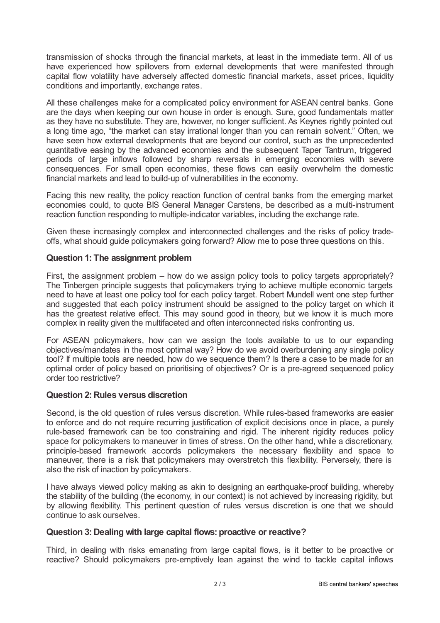transmission of shocks through the financial markets, at least in the immediate term. All of us have experienced how spillovers from external developments that were manifested through capital flow volatility have adversely affected domestic financial markets, asset prices, liquidity conditions and importantly, exchange rates.

All these challenges make for a complicated policy environment for ASEAN central banks. Gone are the days when keeping our own house in order is enough. Sure, good fundamentals matter as they have no substitute. They are, however, no longer sufficient. As Keynes rightly pointed out a long time ago, "the market can stay irrational longer than you can remain solvent." Often, we have seen how external developments that are beyond our control, such as the unprecedented quantitative easing by the advanced economies and the subsequent Taper Tantrum, triggered periods of large inflows followed by sharp reversals in emerging economies with severe consequences. For small open economies, these flows can easily overwhelm the domestic financial markets and lead to build-up of vulnerabilities in the economy.

Facing this new reality, the policy reaction function of central banks from the emerging market economies could, to quote BIS General Manager Carstens, be described as a multi-instrument reaction function responding to multiple-indicator variables, including the exchange rate.

Given these increasingly complex and interconnected challenges and the risks of policy tradeoffs, what should guide policymakers going forward? Allow me to pose three questions on this.

## **Question 1: The assignment problem**

First, the assignment problem – how do we assign policy tools to policy targets appropriately? The Tinbergen principle suggests that policymakers trying to achieve multiple economic targets need to have at least one policy tool for each policy target. Robert Mundell went one step further and suggested that each policy instrument should be assigned to the policy target on which it has the greatest relative effect. This may sound good in theory, but we know it is much more complex in reality given the multifaceted and often interconnected risks confronting us.

For ASEAN policymakers, how can we assign the tools available to us to our expanding objectives/mandates in the most optimal way? How do we avoid overburdening any single policy tool? If multiple tools are needed, how do we sequence them? Is there a case to be made for an optimal order of policy based on prioritising of objectives? Or is a pre-agreed sequenced policy order too restrictive?

## **Question 2:Rules versus discretion**

Second, is the old question of rules versus discretion. While rules-based frameworks are easier to enforce and do not require recurring justification of explicit decisions once in place, a purely rule-based framework can be too constraining and rigid. The inherent rigidity reduces policy space for policymakers to maneuver in times of stress. On the other hand, while a discretionary, principle-based framework accords policymakers the necessary flexibility and space to maneuver, there is a risk that policymakers may overstretch this flexibility. Perversely, there is also the risk of inaction by policymakers.

I have always viewed policy making as akin to designing an earthquake-proof building, whereby the stability of the building (the economy, in our context) is not achieved by increasing rigidity, but by allowing flexibility. This pertinent question of rules versus discretion is one that we should continue to ask ourselves.

## **Question 3:Dealing with large capital flows: proactive or reactive?**

Third, in dealing with risks emanating from large capital flows, is it better to be proactive or reactive? Should policymakers pre-emptively lean against the wind to tackle capital inflows